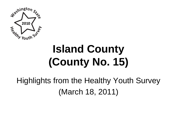

# **Island County (County No. 15)**

# Highlights from the Healthy Youth Survey (March 18, 2011)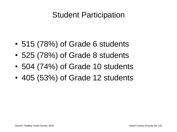### Student Participation

- 515 (78%) of Grade 6 students
- 525 (78%) of Grade 8 students
- 504 (74%) of Grade 10 students
- 405 (53%) of Grade 12 students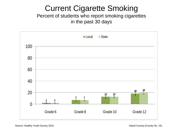# Current Cigarette Smoking

Percent of students who report smoking cigarettes in the past 30 days

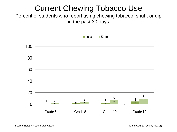# Current Chewing Tobacco Use

Percent of students who report using chewing tobacco, snuff, or dip in the past 30 days

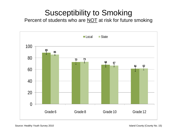# Susceptibility to Smoking

Percent of students who are **NOT** at risk for future smoking

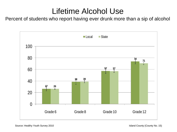### Lifetime Alcohol Use

Percent of students who report having ever drunk more than a sip of alcohol

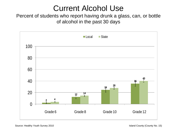### Current Alcohol Use

Percent of students who report having drunk a glass, can, or bottle of alcohol in the past 30 days

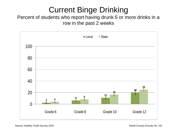# Current Binge Drinking

#### Percent of students who report having drunk 5 or more drinks in a row in the past 2 weeks

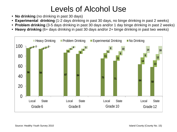# Levels of Alcohol Use

- **No drinking** (no drinking in past 30 days)
- **Experimental drinking** (1-2 days drinking in past 30 days, no binge drinking in past 2 weeks)
- **Problem drinking** (3-5 days drinking in past 30 days and/or 1 day binge drinking in past 2 weeks)
- **Heavy drinking** (6+ days drinking in past 30 days and/or 2+ binge drinking in past two weeks)

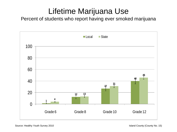# Lifetime Marijuana Use

Percent of students who report having ever smoked marijuana

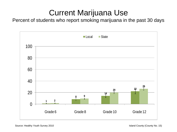# Current Marijuana Use

Percent of students who report smoking marijuana in the past 30 days

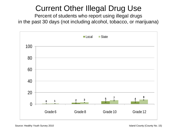# Current Other Illegal Drug Use

Percent of students who report using illegal drugs in the past 30 days (not including alcohol, tobacco, or marijuana)

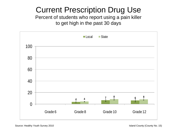# Current Prescription Drug Use

Percent of students who report using a pain killer to get high in the past 30 days

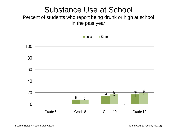### Substance Use at School

#### Percent of students who report being drunk or high at school in the past year

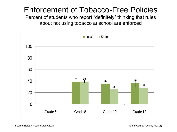# Enforcement of Tobacco-Free Policies

Percent of students who report "definitely" thinking that rules about not using tobacco at school are enforced

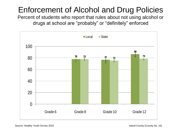# Enforcement of Alcohol and Drug Policies

Percent of students who report that rules about not using alcohol or drugs at school are "probably" or "definitely" enforced

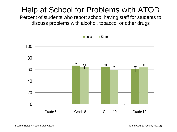# Help at School for Problems with ATOD

Percent of students who report school having staff for students to discuss problems with alcohol, tobacco, or other drugs

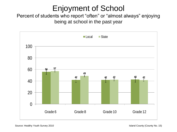### Enjoyment of School

Percent of students who report "often" or "almost always" enjoying being at school in the past year

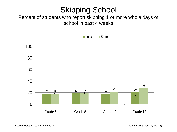# Skipping School

#### Percent of students who report skipping 1 or more whole days of school in past 4 weeks

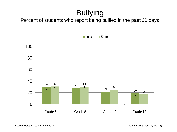# Bullying

Percent of students who report being bullied in the past 30 days

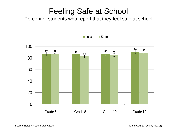## Feeling Safe at School

Percent of students who report that they feel safe at school

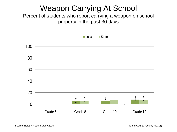# Weapon Carrying At School

Percent of students who report carrying a weapon on school property in the past 30 days

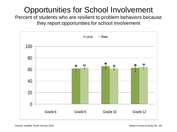# Opportunities for School Involvement

Percent of students who are resilient to problem behaviors because they report opportunities for school involvement

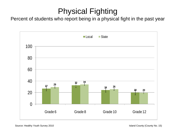# Physical Fighting

Percent of students who report being in a physical fight in the past year

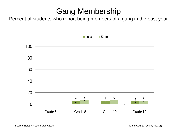# Gang Membership

Percent of students who report being members of a gang in the past year

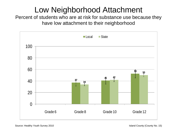# Low Neighborhood Attachment

Percent of students who are at risk for substance use because they have low attachment to their neighborhood

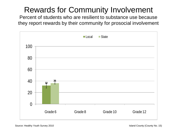# Rewards for Community Involvement

Percent of students who are resilient to substance use because they report rewards by their community for prosocial involvement

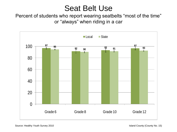#### Seat Belt Use

Percent of students who report wearing seatbelts "most of the time" or "always" when riding in a car

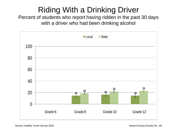# Riding With a Drinking Driver

Percent of students who report having ridden in the past 30 days with a driver who had been drinking alcohol

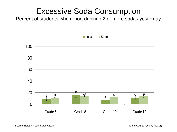#### Excessive Soda Consumption

Percent of students who report drinking 2 or more sodas yesterday

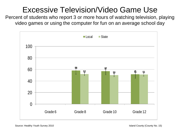# Excessive Television/Video Game Use

Percent of students who report 3 or more hours of watching television, playing video games or using the computer for fun on an average school day

![](_page_30_Figure_2.jpeg)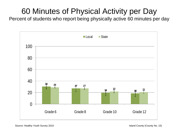# 60 Minutes of Physical Activity per Day

Percent of students who report being physically active 60 minutes per day

![](_page_31_Figure_2.jpeg)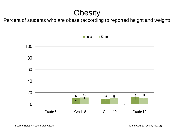# **Obesity**

Percent of students who are obese (according to reported height and weight)

![](_page_32_Figure_2.jpeg)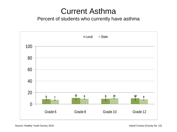#### Current Asthma

#### Percent of students who currently have asthma

![](_page_33_Figure_2.jpeg)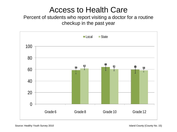#### Access to Health Care

#### Percent of students who report visiting a doctor for a routine checkup in the past year

![](_page_34_Figure_2.jpeg)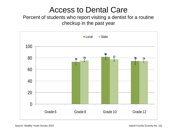#### Access to Dental Care

#### Percent of students who report visiting a dentist for a routine checkup in the past year

![](_page_35_Figure_2.jpeg)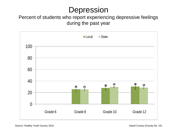### Depression

#### Percent of students who report experiencing depressive feelings during the past year

![](_page_36_Figure_2.jpeg)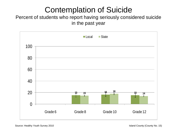# Contemplation of Suicide

Percent of students who report having seriously considered suicide in the past year

![](_page_37_Figure_2.jpeg)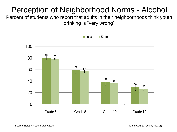# Perception of Neighborhood Norms - Alcohol

Percent of students who report that adults in their neighborhoods think youth drinking is "very wrong"

![](_page_38_Figure_2.jpeg)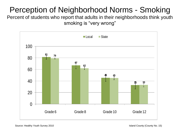# Perception of Neighborhood Norms - Smoking

Percent of students who report that adults in their neighborhoods think youth smoking is "very wrong"

![](_page_39_Figure_2.jpeg)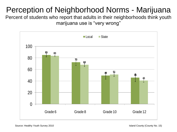# Perception of Neighborhood Norms - Marijuana

Percent of students who report that adults in their neighborhoods think youth marijuana use is "very wrong"

![](_page_40_Figure_2.jpeg)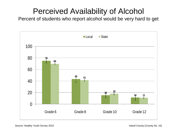### Perceived Availability of Alcohol

Percent of students who report alcohol would be very hard to get

![](_page_41_Figure_2.jpeg)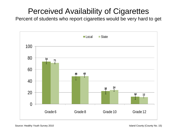# Perceived Availability of Cigarettes

Percent of students who report cigarettes would be very hard to get

![](_page_42_Figure_2.jpeg)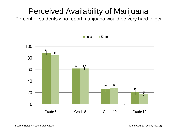# Perceived Availability of Marijuana

Percent of students who report marijuana would be very hard to get

![](_page_43_Figure_2.jpeg)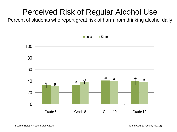# Perceived Risk of Regular Alcohol Use

Percent of students who report great risk of harm from drinking alcohol daily

![](_page_44_Figure_2.jpeg)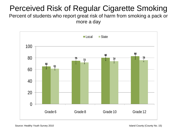# Perceived Risk of Regular Cigarette Smoking

Percent of students who report great risk of harm from smoking a pack or more a day

![](_page_45_Figure_2.jpeg)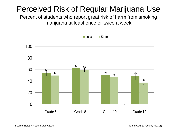# Perceived Risk of Regular Marijuana Use

Percent of students who report great risk of harm from smoking marijuana at least once or twice a week

![](_page_46_Figure_2.jpeg)